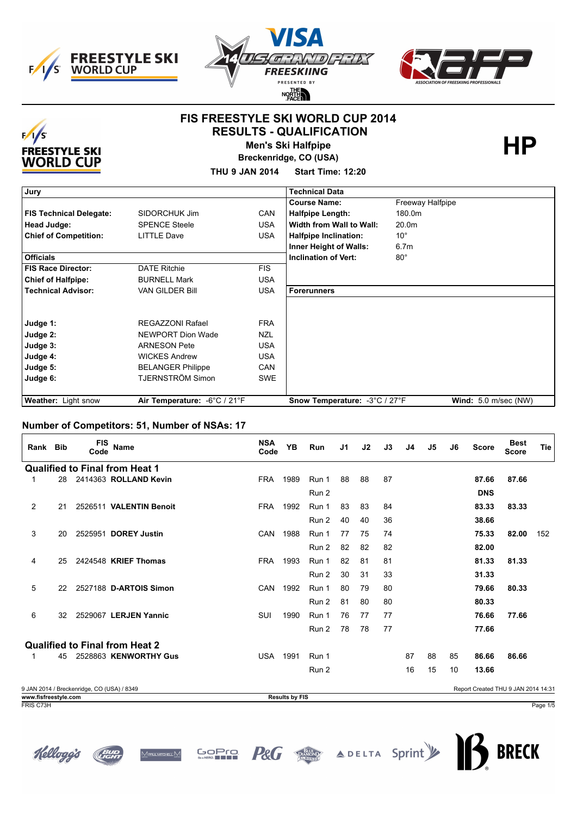





#### **FIS FREESTYLE SKI WORLD CUP 2014 RESULTS - QUALIFICATION**



**Men's Ski Halfpipe** 

**Breckenridge, CO (USA)**

**THU 9 JAN 2014 Start Time: 12:20**

| Jury                           |                              |            | <b>Technical Data</b>         |                               |
|--------------------------------|------------------------------|------------|-------------------------------|-------------------------------|
|                                |                              |            | <b>Course Name:</b>           | Freeway Halfpipe              |
| <b>FIS Technical Delegate:</b> | SIDORCHUK Jim                | <b>CAN</b> | <b>Halfpipe Length:</b>       | 180.0m                        |
| Head Judge:                    | <b>SPENCE Steele</b>         | <b>USA</b> | Width from Wall to Wall:      | 20.0m                         |
| <b>Chief of Competition:</b>   | <b>LITTLE Dave</b>           | <b>USA</b> | <b>Halfpipe Inclination:</b>  | $10^{\circ}$                  |
|                                |                              |            | <b>Inner Height of Walls:</b> | 6.7 <sub>m</sub>              |
| <b>Officials</b>               |                              |            | <b>Inclination of Vert:</b>   | $80^\circ$                    |
| <b>FIS Race Director:</b>      | <b>DATE Ritchie</b>          | <b>FIS</b> |                               |                               |
| <b>Chief of Halfpipe:</b>      | <b>BURNELL Mark</b>          | <b>USA</b> |                               |                               |
| <b>Technical Advisor:</b>      | <b>VAN GILDER Bill</b>       | <b>USA</b> | <b>Forerunners</b>            |                               |
|                                |                              |            |                               |                               |
|                                |                              |            |                               |                               |
| Judge 1:                       | <b>REGAZZONI Rafael</b>      | <b>FRA</b> |                               |                               |
| Judge 2:                       | NEWPORT Dion Wade            | <b>NZL</b> |                               |                               |
| Judge 3:                       | <b>ARNESON Pete</b>          | <b>USA</b> |                               |                               |
| Judge 4:                       | <b>WICKES Andrew</b>         | <b>USA</b> |                               |                               |
| Judge 5:                       | <b>BELANGER Philippe</b>     | <b>CAN</b> |                               |                               |
| Judge 6:                       | TJERNSTRÖM Simon             | <b>SWE</b> |                               |                               |
|                                |                              |            |                               |                               |
| <b>Weather:</b> Light snow     | Air Temperature: -6°C / 21°F |            | Snow Temperature: -3°C / 27°F | <b>Wind:</b> $5.0$ m/sec (NW) |

#### **Number of Competitors: 51, Number of NSAs: 17**

| Rank Bib |    | <b>FIS</b><br>Code                         | <b>Name</b>                           | <b>NSA</b><br>Code | YB   | <b>Run</b> | J1 | J2 | J3 | J4 | J5 | J6 | <b>Score</b>                       | <b>Best</b><br><b>Score</b> | <b>Tie</b> |
|----------|----|--------------------------------------------|---------------------------------------|--------------------|------|------------|----|----|----|----|----|----|------------------------------------|-----------------------------|------------|
|          |    |                                            | <b>Qualified to Final from Heat 1</b> |                    |      |            |    |    |    |    |    |    |                                    |                             |            |
| 1        | 28 |                                            | 2414363 ROLLAND Kevin                 | <b>FRA</b>         | 1989 | Run 1      | 88 | 88 | 87 |    |    |    | 87.66                              | 87.66                       |            |
|          |    |                                            |                                       |                    |      | Run 2      |    |    |    |    |    |    | <b>DNS</b>                         |                             |            |
| 2        | 21 |                                            | 2526511 VALENTIN Benoit               | <b>FRA</b>         | 1992 | Run 1      | 83 | 83 | 84 |    |    |    | 83.33                              | 83.33                       |            |
|          |    |                                            |                                       |                    |      | Run 2      | 40 | 40 | 36 |    |    |    | 38.66                              |                             |            |
| 3        | 20 |                                            | 2525951 DOREY Justin                  | <b>CAN</b>         | 1988 | Run 1      | 77 | 75 | 74 |    |    |    | 75.33                              | 82.00                       | 152        |
|          |    |                                            |                                       |                    |      | Run 2      | 82 | 82 | 82 |    |    |    | 82.00                              |                             |            |
| 4        | 25 |                                            | 2424548 KRIEF Thomas                  | <b>FRA</b>         | 1993 | Run 1      | 82 | 81 | 81 |    |    |    | 81.33                              | 81.33                       |            |
|          |    |                                            |                                       |                    |      | Run 2      | 30 | 31 | 33 |    |    |    | 31.33                              |                             |            |
| 5        | 22 |                                            | 2527188 D-ARTOIS Simon                | <b>CAN</b>         | 1992 | Run 1      | 80 | 79 | 80 |    |    |    | 79.66                              | 80.33                       |            |
|          |    |                                            |                                       |                    |      | Run 2      | 81 | 80 | 80 |    |    |    | 80.33                              |                             |            |
| 6        | 32 |                                            | 2529067 LERJEN Yannic                 | <b>SUI</b>         | 1990 | Run 1      | 76 | 77 | 77 |    |    |    | 76.66                              | 77.66                       |            |
|          |    |                                            |                                       |                    |      | Run 2      | 78 | 78 | 77 |    |    |    | 77.66                              |                             |            |
|          |    |                                            | <b>Qualified to Final from Heat 2</b> |                    |      |            |    |    |    |    |    |    |                                    |                             |            |
|          | 45 |                                            | 2528863 KENWORTHY Gus                 | <b>USA</b>         | 1991 | Run 1      |    |    |    | 87 | 88 | 85 | 86.66                              | 86.66                       |            |
|          |    |                                            |                                       |                    |      | Run 2      |    |    |    | 16 | 15 | 10 | 13.66                              |                             |            |
|          |    | 0.14 N.3044 / Desakanidas, CO (UCA) / 0240 |                                       |                    |      |            |    |    |    |    |    |    | Benet Created TULLO JAN 2014 14:24 |                             |            |

9 JAN 2014 / Breckenridge, CO (USA) / 8349 Report Created THU 9 JAN 2014 14:31 **www.fisfreestyle.com Results by FIS** FRIS C73H Page 1/5

**GOPTO** 

Vi<del>prilmighe</del>ll.N



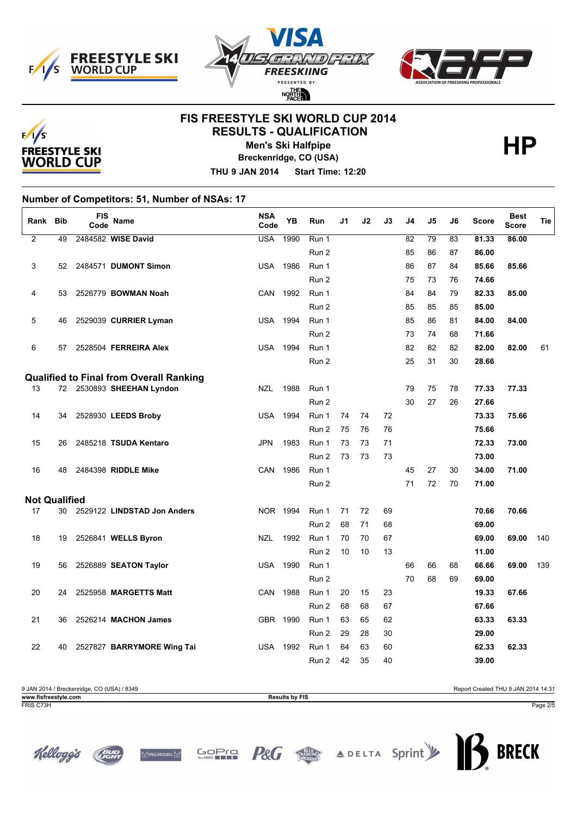





## **FIS FREESTYLE SKI WORLD CUP 2014 RESULTS - QUALIFICATION**



**Men's Ski Halfpipe** 

**Breckenridge, CO (USA)**

**THU 9 JAN 2014 Start Time: 12:20**

**Number of Competitors: 51, Number of NSAs: 17**

| Rank                 | <b>Bib</b> | FIS<br>Code | Name                                           | <b>NSA</b><br>Code | <b>YB</b> | Run   | J1 | J2 | J3 | J4 | J5              | J6 | <b>Score</b> | <b>Best</b><br><b>Score</b> | Tie |
|----------------------|------------|-------------|------------------------------------------------|--------------------|-----------|-------|----|----|----|----|-----------------|----|--------------|-----------------------------|-----|
| $\overline{2}$       | 49         |             | 2484582 WISE David                             | <b>USA</b>         | 1990      | Run 1 |    |    |    | 82 | $\overline{79}$ | 83 | 81.33        | 86.00                       |     |
|                      |            |             |                                                |                    |           | Run 2 |    |    |    | 85 | 86              | 87 | 86.00        |                             |     |
| 3                    | 52         |             | 2484571 DUMONT Simon                           | <b>USA</b>         | 1986      | Run 1 |    |    |    | 86 | 87              | 84 | 85.66        | 85.66                       |     |
|                      |            |             |                                                |                    |           | Run 2 |    |    |    | 75 | 73              | 76 | 74.66        |                             |     |
| 4                    | 53         |             | 2526779 BOWMAN Noah                            | <b>CAN</b>         | 1992      | Run 1 |    |    |    | 84 | 84              | 79 | 82.33        | 85.00                       |     |
|                      |            |             |                                                |                    |           | Run 2 |    |    |    | 85 | 85              | 85 | 85.00        |                             |     |
| 5                    | 46         |             | 2529039 CURRIER Lyman                          | USA                | 1994      | Run 1 |    |    |    | 85 | 86              | 81 | 84.00        | 84.00                       |     |
|                      |            |             |                                                |                    |           | Run 2 |    |    |    | 73 | 74              | 68 | 71.66        |                             |     |
| 6                    | 57         |             | 2528504 FERREIRA Alex                          | <b>USA</b>         | 1994      | Run 1 |    |    |    | 82 | 82              | 82 | 82.00        | 82.00                       | 61  |
|                      |            |             |                                                |                    |           | Run 2 |    |    |    | 25 | 31              | 30 | 28.66        |                             |     |
|                      |            |             | <b>Qualified to Final from Overall Ranking</b> |                    |           |       |    |    |    |    |                 |    |              |                             |     |
| 13                   |            |             | 72 2530893 SHEEHAN Lyndon                      | <b>NZL</b>         | 1988      | Run 1 |    |    |    | 79 | 75              | 78 | 77.33        | 77.33                       |     |
|                      |            |             |                                                |                    |           | Run 2 |    |    |    | 30 | 27              | 26 | 27.66        |                             |     |
| 14                   | 34         |             | 2528930 LEEDS Broby                            | <b>USA</b>         | 1994      | Run 1 | 74 | 74 | 72 |    |                 |    | 73.33        | 75.66                       |     |
|                      |            |             |                                                |                    |           | Run 2 | 75 | 76 | 76 |    |                 |    | 75.66        |                             |     |
| 15                   | 26         |             | 2485218 TSUDA Kentaro                          | <b>JPN</b>         | 1983      | Run 1 | 73 | 73 | 71 |    |                 |    | 72.33        | 73.00                       |     |
|                      |            |             |                                                |                    |           | Run 2 | 73 | 73 | 73 |    |                 |    | 73.00        |                             |     |
| 16                   | 48         |             | 2484398 RIDDLE Mike                            | <b>CAN</b>         | 1986      | Run 1 |    |    |    | 45 | 27              | 30 | 34.00        | 71.00                       |     |
|                      |            |             |                                                |                    |           | Run 2 |    |    |    | 71 | 72              | 70 | 71.00        |                             |     |
| <b>Not Qualified</b> |            |             |                                                |                    |           |       |    |    |    |    |                 |    |              |                             |     |
| 17                   | 30         |             | 2529122 LINDSTAD Jon Anders                    | NOR 1994           |           | Run 1 | 71 | 72 | 69 |    |                 |    | 70.66        | 70.66                       |     |
|                      |            |             |                                                |                    |           | Run 2 | 68 | 71 | 68 |    |                 |    | 69.00        |                             |     |
| 18                   | 19         |             | 2526841 WELLS Byron                            | <b>NZL</b>         | 1992      | Run 1 | 70 | 70 | 67 |    |                 |    | 69.00        | 69.00                       | 140 |
|                      |            |             |                                                |                    |           | Run 2 | 10 | 10 | 13 |    |                 |    | 11.00        |                             |     |
| 19                   | 56         |             | 2526889 SEATON Taylor                          | <b>USA</b>         | 1990      | Run 1 |    |    |    | 66 | 66              | 68 | 66.66        | 69.00                       | 139 |
|                      |            |             |                                                |                    |           | Run 2 |    |    |    | 70 | 68              | 69 | 69.00        |                             |     |
| 20                   | 24         |             | 2525958 MARGETTS Matt                          | <b>CAN</b>         | 1988      | Run 1 | 20 | 15 | 23 |    |                 |    | 19.33        | 67.66                       |     |
|                      |            |             |                                                |                    |           | Run 2 | 68 | 68 | 67 |    |                 |    | 67.66        |                             |     |
| 21                   | 36         |             | 2526214 MACHON James                           | GBR 1990           |           | Run 1 | 63 | 65 | 62 |    |                 |    | 63.33        | 63.33                       |     |
|                      |            |             |                                                |                    |           | Run 2 | 29 | 28 | 30 |    |                 |    | 29.00        |                             |     |
| 22                   | 40         |             | 2527827 BARRYMORE Wing Tai                     | <b>USA</b>         | 1992      | Run 1 | 64 | 63 | 60 |    |                 |    | 62.33        | 62.33                       |     |
|                      |            |             |                                                |                    |           | Run 2 | 42 | 35 | 40 |    |                 |    | 39.00        |                             |     |

| 9 JAN 2014 / Breckenridge, CO (USA) / 8349 |                       | Report Created THU 9 JAN 2014 14:31 |
|--------------------------------------------|-----------------------|-------------------------------------|
| www.fisfreestvle.com                       | <b>Results by FIS</b> |                                     |
| FRIS C73H                                  |                       | Page 2/5                            |







**GOPTO** 

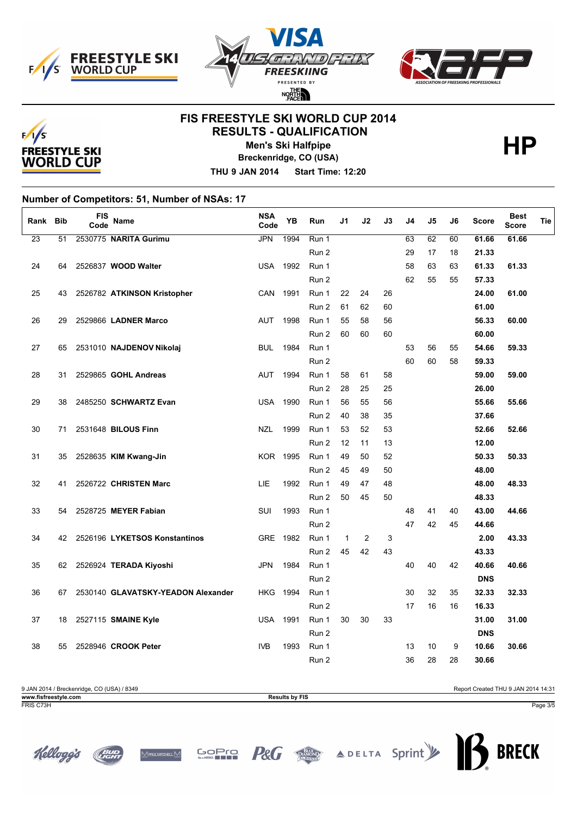





## **FIS FREESTYLE SKI WORLD CUP 2014 RESULTS - QUALIFICATION**



Kelloggs

**Men's Ski Halfpipe** 

**Breckenridge, CO (USA)**

**THU 9 JAN 2014 Start Time: 12:20**

**Number of Competitors: 51, Number of NSAs: 17**

| Rank            | <b>Bib</b> | <b>FIS</b><br>Code | Name                               | <b>NSA</b><br>Code | YB   | Run   | J1           | J2 | J3 | J4 | J5 | J6 | <b>Score</b> | <b>Best</b><br><b>Score</b> | Tie |
|-----------------|------------|--------------------|------------------------------------|--------------------|------|-------|--------------|----|----|----|----|----|--------------|-----------------------------|-----|
| $\overline{23}$ | 51         |                    | 2530775 NARITA Gurimu              | <b>JPN</b>         | 1994 | Run 1 |              |    |    | 63 | 62 | 60 | 61.66        | 61.66                       |     |
|                 |            |                    |                                    |                    |      | Run 2 |              |    |    | 29 | 17 | 18 | 21.33        |                             |     |
| 24              | 64         |                    | 2526837 WOOD Walter                | <b>USA</b>         | 1992 | Run 1 |              |    |    | 58 | 63 | 63 | 61.33        | 61.33                       |     |
|                 |            |                    |                                    |                    |      | Run 2 |              |    |    | 62 | 55 | 55 | 57.33        |                             |     |
| 25              | 43         |                    | 2526782 ATKINSON Kristopher        | CAN                | 1991 | Run 1 | 22           | 24 | 26 |    |    |    | 24.00        | 61.00                       |     |
|                 |            |                    |                                    |                    |      | Run 2 | 61           | 62 | 60 |    |    |    | 61.00        |                             |     |
| 26              | 29         |                    | 2529866 LADNER Marco               | <b>AUT</b>         | 1998 | Run 1 | 55           | 58 | 56 |    |    |    | 56.33        | 60.00                       |     |
|                 |            |                    |                                    |                    |      | Run 2 | 60           | 60 | 60 |    |    |    | 60.00        |                             |     |
| 27              | 65         |                    | 2531010 NAJDENOV Nikolaj           | <b>BUL</b>         | 1984 | Run 1 |              |    |    | 53 | 56 | 55 | 54.66        | 59.33                       |     |
|                 |            |                    |                                    |                    |      | Run 2 |              |    |    | 60 | 60 | 58 | 59.33        |                             |     |
| 28              | 31         |                    | 2529865 GOHL Andreas               | <b>AUT</b>         | 1994 | Run 1 | 58           | 61 | 58 |    |    |    | 59.00        | 59.00                       |     |
|                 |            |                    |                                    |                    |      | Run 2 | 28           | 25 | 25 |    |    |    | 26.00        |                             |     |
| 29              | 38         |                    | 2485250 SCHWARTZ Evan              | <b>USA</b>         | 1990 | Run 1 | 56           | 55 | 56 |    |    |    | 55.66        | 55.66                       |     |
|                 |            |                    |                                    |                    |      | Run 2 | 40           | 38 | 35 |    |    |    | 37.66        |                             |     |
| 30              | 71         |                    | 2531648 BILOUS Finn                | <b>NZL</b>         | 1999 | Run 1 | 53           | 52 | 53 |    |    |    | 52.66        | 52.66                       |     |
|                 |            |                    |                                    |                    |      | Run 2 | 12           | 11 | 13 |    |    |    | 12.00        |                             |     |
| 31              | 35         |                    | 2528635 KIM Kwang-Jin              | <b>KOR 1995</b>    |      | Run 1 | 49           | 50 | 52 |    |    |    | 50.33        | 50.33                       |     |
|                 |            |                    |                                    |                    |      | Run 2 | 45           | 49 | 50 |    |    |    | 48.00        |                             |     |
| 32              | 41         |                    | 2526722 CHRISTEN Marc              | LIE                | 1992 | Run 1 | 49           | 47 | 48 |    |    |    | 48.00        | 48.33                       |     |
|                 |            |                    |                                    |                    |      | Run 2 | 50           | 45 | 50 |    |    |    | 48.33        |                             |     |
| 33              | 54         |                    | 2528725 MEYER Fabian               | <b>SUI</b>         | 1993 | Run 1 |              |    |    | 48 | 41 | 40 | 43.00        | 44.66                       |     |
|                 |            |                    |                                    |                    |      | Run 2 |              |    |    | 47 | 42 | 45 | 44.66        |                             |     |
| 34              | 42         |                    | 2526196 LYKETSOS Konstantinos      | GRE 1982           |      | Run 1 | $\mathbf{1}$ | 2  | 3  |    |    |    | 2.00         | 43.33                       |     |
|                 |            |                    |                                    |                    |      | Run 2 | 45           | 42 | 43 |    |    |    | 43.33        |                             |     |
| 35              |            |                    | 62 2526924 TERADA Kiyoshi          | <b>JPN</b>         | 1984 | Run 1 |              |    |    | 40 | 40 | 42 | 40.66        | 40.66                       |     |
|                 |            |                    |                                    |                    |      | Run 2 |              |    |    |    |    |    | <b>DNS</b>   |                             |     |
| 36              | 67         |                    | 2530140 GLAVATSKY-YEADON Alexander | <b>HKG</b>         | 1994 | Run 1 |              |    |    | 30 | 32 | 35 | 32.33        | 32.33                       |     |
|                 |            |                    |                                    |                    |      | Run 2 |              |    |    | 17 | 16 | 16 | 16.33        |                             |     |
| 37              |            |                    | 18 2527115 SMAINE Kyle             | <b>USA</b>         | 1991 | Run 1 | 30           | 30 | 33 |    |    |    | 31.00        | 31.00                       |     |
|                 |            |                    |                                    |                    |      | Run 2 |              |    |    |    |    |    | <b>DNS</b>   |                             |     |
| 38              | 55         |                    | 2528946 CROOK Peter                | <b>IVB</b>         | 1993 | Run 1 |              |    |    | 13 | 10 | 9  | 10.66        | 30.66                       |     |
|                 |            |                    |                                    |                    |      | Run 2 |              |    |    | 36 | 28 | 28 | 30.66        |                             |     |

**P&G** 

**GOPTO** 

<u>Mpalmorel</u> M

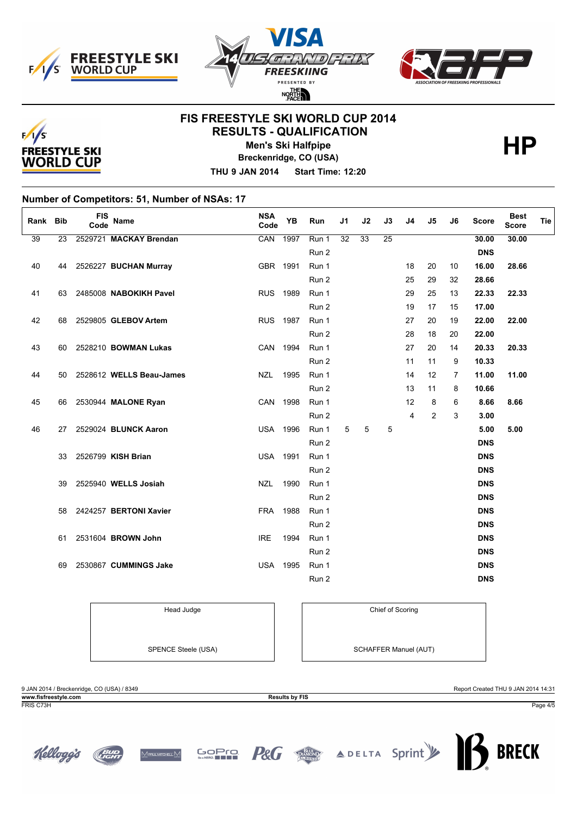





## **FIS FREESTYLE SKI WORLD CUP 2014 RESULTS - QUALIFICATION**



**Men's Ski Halfpipe** 

**Breckenridge, CO (USA)**

**THU 9 JAN 2014 Start Time: 12:20**

**Number of Competitors: 51, Number of NSAs: 17**

| Rank Bib |    | <b>FIS</b><br>Code | Name                        | <b>NSA</b><br>Code | YB   | Run   | J1 | J2 | J3              | J <sub>4</sub> | J5 | J6 | <b>Score</b> | <b>Best</b><br><b>Score</b> | Tie |
|----------|----|--------------------|-----------------------------|--------------------|------|-------|----|----|-----------------|----------------|----|----|--------------|-----------------------------|-----|
| 39       | 23 |                    | 2529721 MACKAY Brendan      | CAN                | 1997 | Run 1 | 32 | 33 | $\overline{25}$ |                |    |    | 30.00        | 30.00                       |     |
|          |    |                    |                             |                    |      | Run 2 |    |    |                 |                |    |    | <b>DNS</b>   |                             |     |
| 40       |    |                    | 44 2526227 BUCHAN Murray    | GBR 1991           |      | Run 1 |    |    |                 | 18             | 20 | 10 | 16.00        | 28.66                       |     |
|          |    |                    |                             |                    |      | Run 2 |    |    |                 | 25             | 29 | 32 | 28.66        |                             |     |
| 41       |    |                    | 63 2485008 NABOKIKH Pavel   | RUS 1989           |      | Run 1 |    |    |                 | 29             | 25 | 13 | 22.33        | 22.33                       |     |
|          |    |                    |                             |                    |      | Run 2 |    |    |                 | 19             | 17 | 15 | 17.00        |                             |     |
| 42       |    |                    | 68 2529805 GLEBOV Artem     | <b>RUS</b> 1987    |      | Run 1 |    |    |                 | 27             | 20 | 19 | 22.00        | 22.00                       |     |
|          |    |                    |                             |                    |      | Run 2 |    |    |                 | 28             | 18 | 20 | 22.00        |                             |     |
| 43       | 60 |                    | 2528210 <b>BOWMAN Lukas</b> | CAN 1994           |      | Run 1 |    |    |                 | 27             | 20 | 14 | 20.33        | 20.33                       |     |
|          |    |                    |                             |                    |      | Run 2 |    |    |                 | 11             | 11 | 9  | 10.33        |                             |     |
| 44       | 50 |                    | 2528612 WELLS Beau-James    | <b>NZL</b>         | 1995 | Run 1 |    |    |                 | 14             | 12 | 7  | 11.00        | 11.00                       |     |
|          |    |                    |                             |                    |      | Run 2 |    |    |                 | 13             | 11 | 8  | 10.66        |                             |     |
| 45       |    |                    | 66 2530944 MALONE Ryan      | CAN 1998           |      | Run 1 |    |    |                 | 12             | 8  | 6  | 8.66         | 8.66                        |     |
|          |    |                    |                             |                    |      | Run 2 |    |    |                 | 4              | 2  | 3  | 3.00         |                             |     |
| 46       |    |                    | 27 2529024 BLUNCK Aaron     | <b>USA 1996</b>    |      | Run 1 | 5  | 5  | 5               |                |    |    | 5.00         | 5.00                        |     |
|          |    |                    |                             |                    |      | Run 2 |    |    |                 |                |    |    | <b>DNS</b>   |                             |     |
|          | 33 |                    | 2526799 KISH Brian          | <b>USA 1991</b>    |      | Run 1 |    |    |                 |                |    |    | <b>DNS</b>   |                             |     |
|          |    |                    |                             |                    |      | Run 2 |    |    |                 |                |    |    | <b>DNS</b>   |                             |     |
|          | 39 |                    | 2525940 WELLS Josiah        | <b>NZL</b>         | 1990 | Run 1 |    |    |                 |                |    |    | <b>DNS</b>   |                             |     |
|          |    |                    |                             |                    |      | Run 2 |    |    |                 |                |    |    | <b>DNS</b>   |                             |     |
|          | 58 |                    | 2424257 BERTONI Xavier      | <b>FRA</b>         | 1988 | Run 1 |    |    |                 |                |    |    | <b>DNS</b>   |                             |     |
|          |    |                    |                             |                    |      | Run 2 |    |    |                 |                |    |    | <b>DNS</b>   |                             |     |
|          | 61 |                    | 2531604 BROWN John          | <b>IRE</b>         | 1994 | Run 1 |    |    |                 |                |    |    | <b>DNS</b>   |                             |     |
|          |    |                    |                             |                    |      | Run 2 |    |    |                 |                |    |    | <b>DNS</b>   |                             |     |
|          | 69 |                    | 2530867 CUMMINGS Jake       | <b>USA 1995</b>    |      | Run 1 |    |    |                 |                |    |    | <b>DNS</b>   |                             |     |
|          |    |                    |                             |                    |      | Run 2 |    |    |                 |                |    |    | <b>DNS</b>   |                             |     |

Head Judge **Chief of Scoring** 

<u>Mpalmorel</u> M

**GOPTO** 

SPENCE Steele (USA) SPENCE Steele (USA)

9 JAN 2014 / Breckenridge, CO (USA) / 8349 Report Created THU 9 JAN 2014 14:31 **www.fisfreestyle.com Results by FIS**

FRIS C73H Page 4/5